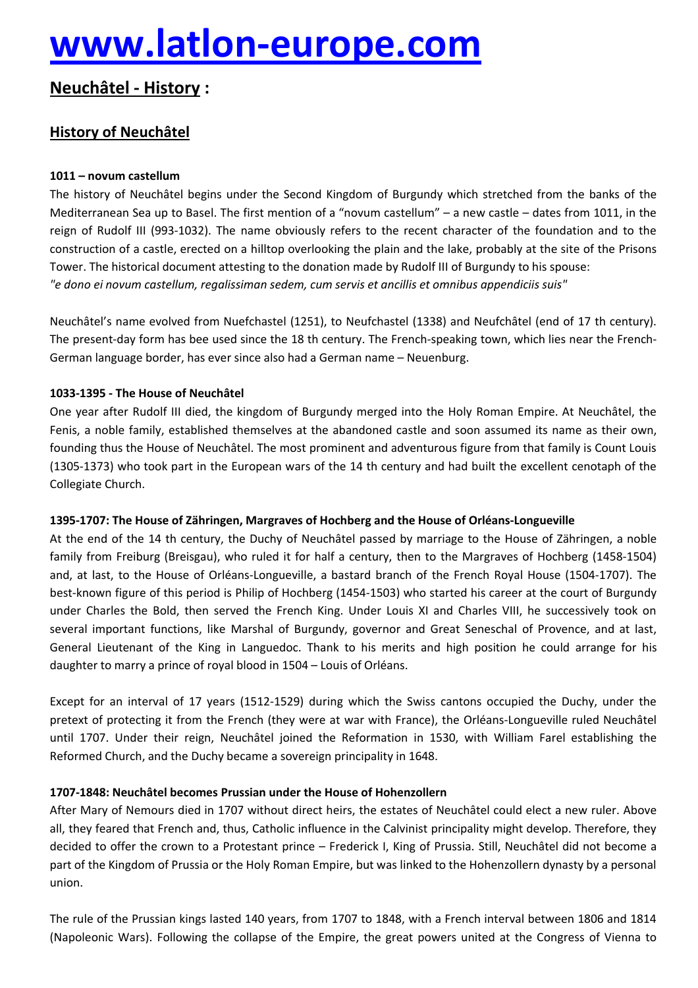# **[www.latlon-europe.com](http://www.latlon-europe.com)**

## **NeuchÄtel - History :**

### **History of NeuchÄtel**

#### **1011 – novum castellum**

The history of Neuchâtel begins under the Second Kingdom of Burgundy which stretched from the banks of the Mediterranean Sea up to Basel. The first mention of a "novum castellum" – a new castle – dates from 1011, in the reign of Rudolf III (993-1032). The name obviously refers to the recent character of the foundation and to the construction of a castle, erected on a hilltop overlooking the plain and the lake, probably at the site of the Prisons Tower. The historical document attesting to the donation made by Rudolf III of Burgundy to his spouse: *"e dono ei novum castellum, regalissiman sedem, cum servis et ancillis et omnibus appendiciis suis"*

NeuchÄtel's name evolved from Nuefchastel (1251), to Neufchastel (1338) and NeufchÄtel (end of 17 th century). The present-day form has bee used since the 18 th century. The French-speaking town, which lies near the French-German language border, has ever since also had a German name – Neuenburg.

#### **1033-1395 - The House of NeuchÄtel**

One year after Rudolf III died, the kingdom of Burgundy merged into the Holy Roman Empire. At NeuchÄtel, the Fenis, a noble family, established themselves at the abandoned castle and soon assumed its name as their own, founding thus the House of NeuchÄtel. The most prominent and adventurous figure from that family is Count Louis (1305-1373) who took part in the European wars of the 14 th century and had built the excellent cenotaph of the Collegiate Church.

#### **1395-1707: The House of ZÇhringen, Margraves of Hochberg and the House of OrlÉans-Longueville**

At the end of the 14 th century, the Duchy of Neuchâtel passed by marriage to the House of Zähringen, a noble family from Freiburg (Breisgau), who ruled it for half a century, then to the Margraves of Hochberg (1458-1504) and, at last, to the House of Orléans-Longueville, a bastard branch of the French Royal House (1504-1707). The best-known figure of this period is Philip of Hochberg (1454-1503) who started his career at the court of Burgundy under Charles the Bold, then served the French King. Under Louis XI and Charles VIII, he successively took on several important functions, like Marshal of Burgundy, governor and Great Seneschal of Provence, and at last, General Lieutenant of the King in Languedoc. Thank to his merits and high position he could arrange for his daughter to marry a prince of royal blood in 1504 – Louis of Orléans.

Except for an interval of 17 years (1512-1529) during which the Swiss cantons occupied the Duchy, under the pretext of protecting it from the French (they were at war with France), the Orléans-Longueville ruled Neuchâtel until 1707. Under their reign, NeuchÄtel joined the Reformation in 1530, with William Farel establishing the Reformed Church, and the Duchy became a sovereign principality in 1648.

#### **1707-1848: NeuchÄtel becomes Prussian under the House of Hohenzollern**

After Mary of Nemours died in 1707 without direct heirs, the estates of Neuchâtel could elect a new ruler. Above all, they feared that French and, thus, Catholic influence in the Calvinist principality might develop. Therefore, they decided to offer the crown to a Protestant prince – Frederick I, King of Prussia. Still, Neuchâtel did not become a part of the Kingdom of Prussia or the Holy Roman Empire, but was linked to the Hohenzollern dynasty by a personal union.

The rule of the Prussian kings lasted 140 years, from 1707 to 1848, with a French interval between 1806 and 1814 (Napoleonic Wars). Following the collapse of the Empire, the great powers united at the Congress of Vienna to